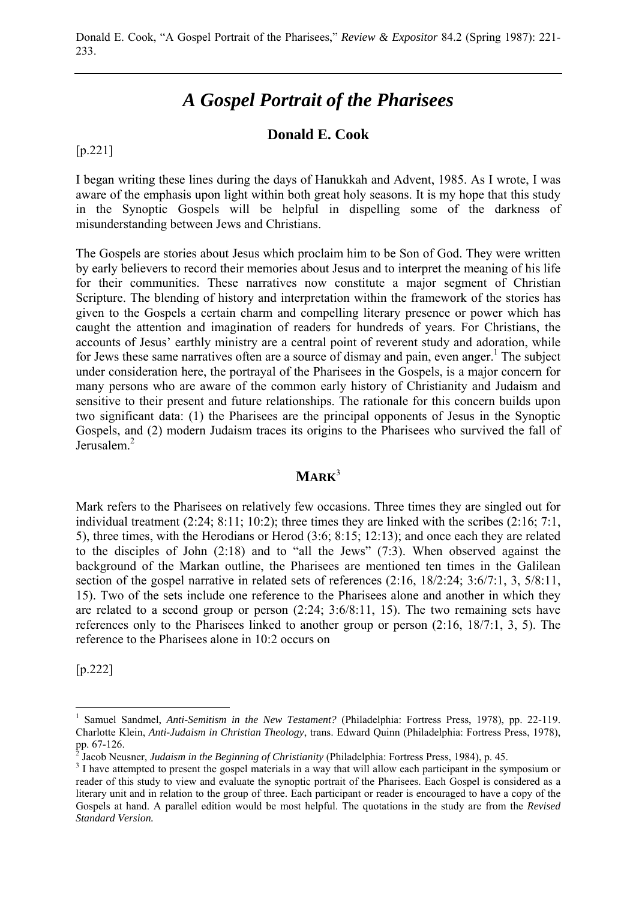# *A Gospel Portrait of the Pharisees*

# **Donald E. Cook**

[p.221]

I began writing these lines during the days of Hanukkah and Advent, 1985. As I wrote, I was aware of the emphasis upon light within both great holy seasons. It is my hope that this study in the Synoptic Gospels will be helpful in dispelling some of the darkness of misunderstanding between Jews and Christians.

The Gospels are stories about Jesus which proclaim him to be Son of God. They were written by early believers to record their memories about Jesus and to interpret the meaning of his life for their communities. These narratives now constitute a major segment of Christian Scripture. The blending of history and interpretation within the framework of the stories has given to the Gospels a certain charm and compelling literary presence or power which has caught the attention and imagination of readers for hundreds of years. For Christians, the accounts of Jesus' earthly ministry are a central point of reverent study and adoration, while for Jews these same narratives often are a source of dismay and pain, even anger.<sup>1</sup> The subject under consideration here, the portrayal of the Pharisees in the Gospels, is a major concern for many persons who are aware of the common early history of Christianity and Judaism and sensitive to their present and future relationships. The rationale for this concern builds upon two significant data: (1) the Pharisees are the principal opponents of Jesus in the Synoptic Gospels, and (2) modern Judaism traces its origins to the Pharisees who survived the fall of Jerusalem.<sup>2</sup>

#### **MARK**<sup>3</sup>

Mark refers to the Pharisees on relatively few occasions. Three times they are singled out for individual treatment (2:24; 8:11; 10:2); three times they are linked with the scribes (2:16; 7:1, 5), three times, with the Herodians or Herod (3:6; 8:15; 12:13); and once each they are related to the disciples of John (2:18) and to "all the Jews" (7:3). When observed against the background of the Markan outline, the Pharisees are mentioned ten times in the Galilean section of the gospel narrative in related sets of references (2:16, 18/2:24; 3:6/7:1, 3, 5/8:11, 15). Two of the sets include one reference to the Pharisees alone and another in which they are related to a second group or person (2:24; 3:6/8:11, 15). The two remaining sets have references only to the Pharisees linked to another group or person (2:16, 18/7:1, 3, 5). The reference to the Pharisees alone in 10:2 occurs on

[p.222]

<sup>1</sup> Samuel Sandmel, *Anti-Semitism in the New Testament?* (Philadelphia: Fortress Press, 1978), pp. 22-119. Charlotte Klein, *Anti-Judaism in Christian Theology*, trans. Edward Quinn (Philadelphia: Fortress Press, 1978), pp. 67-126.<br><sup>2</sup> Jacob New

Jacob Neusner, *Judaism in the Beginning of Christianity* (Philadelphia: Fortress Press, 1984), p. 45.

<sup>&</sup>lt;sup>3</sup> I have attempted to present the gospel materials in a way that will allow each participant in the symposium or reader of this study to view and evaluate the synoptic portrait of the Pharisees. Each Gospel is considered as a literary unit and in relation to the group of three. Each participant or reader is encouraged to have a copy of the Gospels at hand. A parallel edition would be most helpful. The quotations in the study are from the *Revised Standard Version.*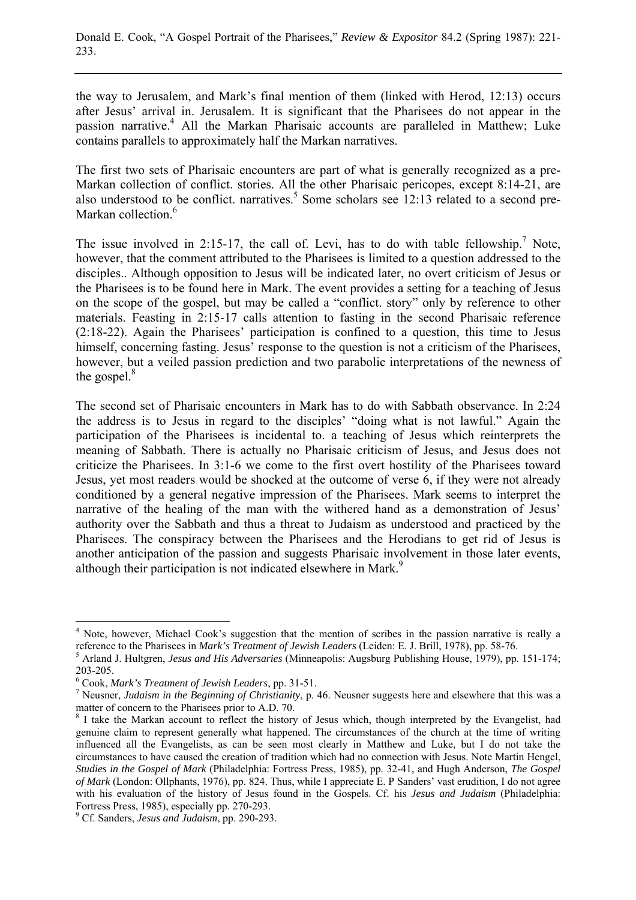the way to Jerusalem, and Mark's final mention of them (linked with Herod, 12:13) occurs after Jesus' arrival in. Jerusalem. It is significant that the Pharisees do not appear in the passion narrative.<sup>4</sup> All the Markan Pharisaic accounts are paralleled in Matthew; Luke contains parallels to approximately half the Markan narratives.

The first two sets of Pharisaic encounters are part of what is generally recognized as a pre-Markan collection of conflict. stories. All the other Pharisaic pericopes, except 8:14-21, are also understood to be conflict. narratives.<sup>5</sup> Some scholars see 12:13 related to a second pre-Markan collection.<sup>6</sup>

The issue involved in 2:15-17, the call of. Levi, has to do with table fellowship.<sup>7</sup> Note, however, that the comment attributed to the Pharisees is limited to a question addressed to the disciples.. Although opposition to Jesus will be indicated later, no overt criticism of Jesus or the Pharisees is to be found here in Mark. The event provides a setting for a teaching of Jesus on the scope of the gospel, but may be called a "conflict. story" only by reference to other materials. Feasting in 2:15-17 calls attention to fasting in the second Pharisaic reference (2:18-22). Again the Pharisees' participation is confined to a question, this time to Jesus himself, concerning fasting. Jesus' response to the question is not a criticism of the Pharisees, however, but a veiled passion prediction and two parabolic interpretations of the newness of the gospel. $8$ 

The second set of Pharisaic encounters in Mark has to do with Sabbath observance. In 2:24 the address is to Jesus in regard to the disciples' "doing what is not lawful." Again the participation of the Pharisees is incidental to. a teaching of Jesus which reinterprets the meaning of Sabbath. There is actually no Pharisaic criticism of Jesus, and Jesus does not criticize the Pharisees. In 3:1-6 we come to the first overt hostility of the Pharisees toward Jesus, yet most readers would be shocked at the outcome of verse 6, if they were not already conditioned by a general negative impression of the Pharisees. Mark seems to interpret the narrative of the healing of the man with the withered hand as a demonstration of Jesus' authority over the Sabbath and thus a threat to Judaism as understood and practiced by the Pharisees. The conspiracy between the Pharisees and the Herodians to get rid of Jesus is another anticipation of the passion and suggests Pharisaic involvement in those later events, although their participation is not indicated elsewhere in Mark.<sup>9</sup>

<sup>&</sup>lt;sup>4</sup> Note, however, Michael Cook's suggestion that the mention of scribes in the passion narrative is really a reference to the Pharisees in *Mark's Treatment of Jewish Leaders* (Leiden: E. J. Brill, 1978), pp. 58-76.

Arland J. Hultgren, *Jesus and His Adversaries* (Minneapolis: Augsburg Publishing House, 1979), pp. 151-174; 203-205.

<sup>&</sup>lt;sup>6</sup> Cook, *Mark's Treatment of Jewish Leaders*, pp. 31-51.<br><sup>7</sup> Novemer, *Judaism in the Beginning of Christianity*, p.

Neusner, *Judaism in the Beginning of Christianity*, p. 46. Neusner suggests here and elsewhere that this was a matter of concern to the Pharisees prior to A.D. 70.

<sup>&</sup>lt;sup>8</sup> I take the Markan account to reflect the history of Jesus which, though interpreted by the Evangelist, had genuine claim to represent generally what happened. The circumstances of the church at the time of writing influenced all the Evangelists, as can be seen most clearly in Matthew and Luke, but I do not take the circumstances to have caused the creation of tradition which had no connection with Jesus. Note Martin Hengel, *Studies in the Gospel of Mark* (Philadelphia: Fortress Press, 1985), pp. 32-41, and Hugh Anderson, *The Gospel of Mark* (London: Ollphants, 1976), pp. 824. Thus, while I appreciate E. P Sanders' vast erudition, I do not agree with his evaluation of the history of Jesus found in the Gospels. Cf. his *Jesus and Judaism* (Philadelphia: Fortress Press, 1985), especially pp. 270-293.

Cf. Sanders, *Jesus and Judaism*, pp. 290-293.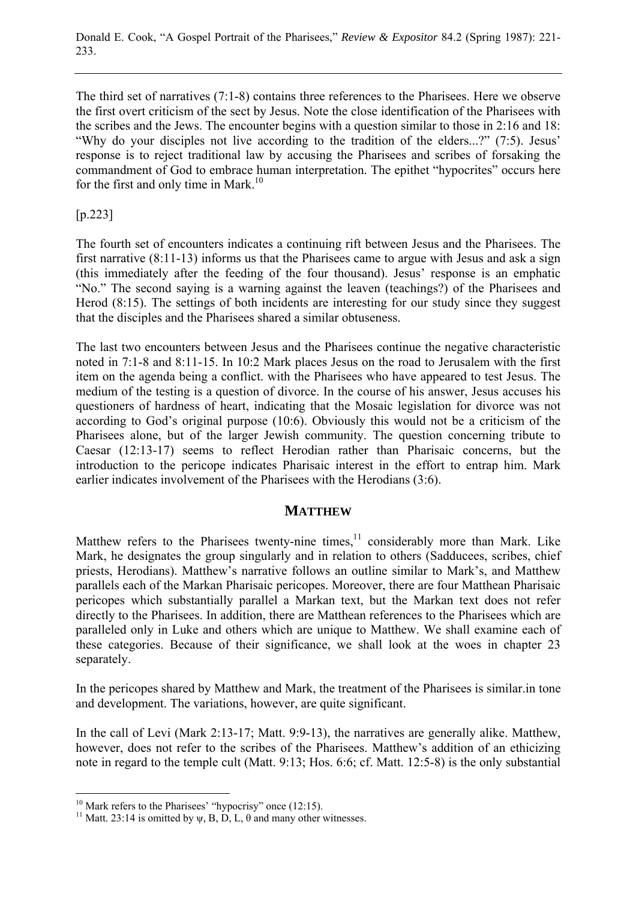The third set of narratives (7:1-8) contains three references to the Pharisees. Here we observe the first overt criticism of the sect by Jesus. Note the close identification of the Pharisees with the scribes and the Jews. The encounter begins with a question similar to those in 2:16 and 18: "Why do your disciples not live according to the tradition of the elders...?" (7:5). Jesus' response is to reject traditional law by accusing the Pharisees and scribes of forsaking the commandment of God to embrace human interpretation. The epithet "hypocrites" occurs here for the first and only time in Mark.<sup>10</sup>

[p.223]

The fourth set of encounters indicates a continuing rift between Jesus and the Pharisees. The first narrative (8:11-13) informs us that the Pharisees came to argue with Jesus and ask a sign (this immediately after the feeding of the four thousand). Jesus' response is an emphatic "No." The second saying is a warning against the leaven (teachings?) of the Pharisees and Herod (8:15). The settings of both incidents are interesting for our study since they suggest that the disciples and the Pharisees shared a similar obtuseness.

The last two encounters between Jesus and the Pharisees continue the negative characteristic noted in 7:1-8 and 8:11-15. In 10:2 Mark places Jesus on the road to Jerusalem with the first item on the agenda being a conflict. with the Pharisees who have appeared to test Jesus. The medium of the testing is a question of divorce. In the course of his answer, Jesus accuses his questioners of hardness of heart, indicating that the Mosaic legislation for divorce was not according to God's original purpose (10:6). Obviously this would not be a criticism of the Pharisees alone, but of the larger Jewish community. The question concerning tribute to Caesar (12:13-17) seems to reflect Herodian rather than Pharisaic concerns, but the introduction to the pericope indicates Pharisaic interest in the effort to entrap him. Mark earlier indicates involvement of the Pharisees with the Herodians (3:6).

## **MATTHEW**

Matthew refers to the Pharisees twenty-nine times, $11$  considerably more than Mark. Like Mark, he designates the group singularly and in relation to others (Sadducees, scribes, chief priests, Herodians). Matthew's narrative follows an outline similar to Mark's, and Matthew parallels each of the Markan Pharisaic pericopes. Moreover, there are four Matthean Pharisaic pericopes which substantially parallel a Markan text, but the Markan text does not refer directly to the Pharisees. In addition, there are Matthean references to the Pharisees which are paralleled only in Luke and others which are unique to Matthew. We shall examine each of these categories. Because of their significance, we shall look at the woes in chapter 23 separately.

In the pericopes shared by Matthew and Mark, the treatment of the Pharisees is similar.in tone and development. The variations, however, are quite significant.

In the call of Levi (Mark 2:13-17; Matt. 9:9-13), the narratives are generally alike. Matthew, however, does not refer to the scribes of the Pharisees. Matthew's addition of an ethicizing note in regard to the temple cult (Matt. 9:13; Hos. 6:6; cf. Matt. 12:5-8) is the only substantial

 $10$  Mark refers to the Pharisees' "hypocrisy" once (12:15).

<sup>&</sup>lt;sup>11</sup> Matt. 23:14 is omitted by  $\psi$ , B, D, L,  $\theta$  and many other witnesses.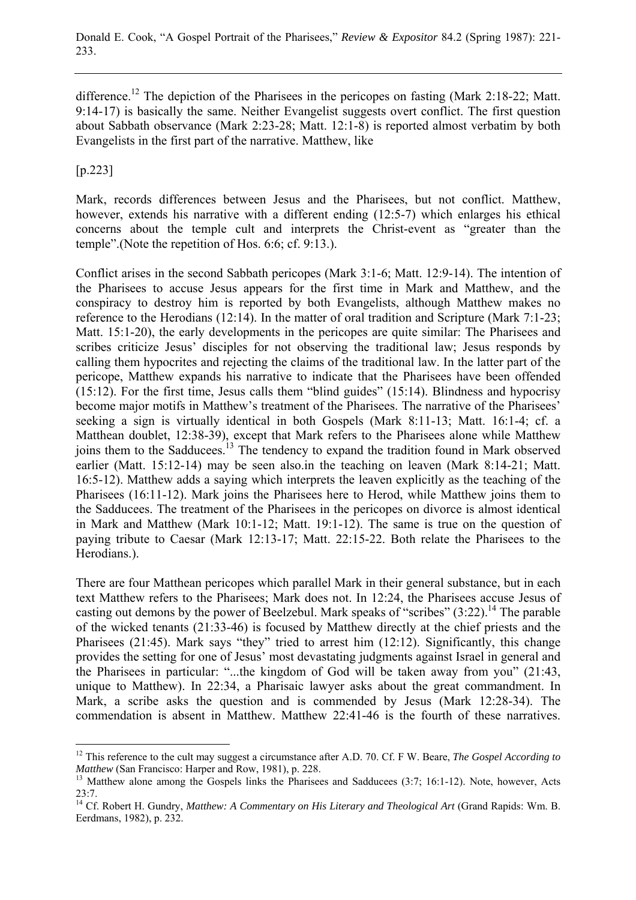difference.<sup>12</sup> The depiction of the Pharisees in the pericopes on fasting (Mark 2:18-22; Matt. 9:14-17) is basically the same. Neither Evangelist suggests overt conflict. The first question about Sabbath observance (Mark 2:23-28; Matt. 12:1-8) is reported almost verbatim by both Evangelists in the first part of the narrative. Matthew, like

[p.223]

 $\overline{a}$ 

Mark, records differences between Jesus and the Pharisees, but not conflict. Matthew, however, extends his narrative with a different ending (12:5-7) which enlarges his ethical concerns about the temple cult and interprets the Christ-event as "greater than the temple".(Note the repetition of Hos. 6:6; cf. 9:13.).

Conflict arises in the second Sabbath pericopes (Mark 3:1-6; Matt. 12:9-14). The intention of the Pharisees to accuse Jesus appears for the first time in Mark and Matthew, and the conspiracy to destroy him is reported by both Evangelists, although Matthew makes no reference to the Herodians (12:14). In the matter of oral tradition and Scripture (Mark 7:1-23; Matt. 15:1-20), the early developments in the pericopes are quite similar: The Pharisees and scribes criticize Jesus' disciples for not observing the traditional law; Jesus responds by calling them hypocrites and rejecting the claims of the traditional law. In the latter part of the pericope, Matthew expands his narrative to indicate that the Pharisees have been offended (15:12). For the first time, Jesus calls them "blind guides" (15:14). Blindness and hypocrisy become major motifs in Matthew's treatment of the Pharisees. The narrative of the Pharisees' seeking a sign is virtually identical in both Gospels (Mark 8:11-13; Matt. 16:1-4; cf. a Matthean doublet, 12:38-39), except that Mark refers to the Pharisees alone while Matthew joins them to the Sadducees.<sup>13</sup> The tendency to expand the tradition found in Mark observed earlier (Matt. 15:12-14) may be seen also.in the teaching on leaven (Mark 8:14-21; Matt. 16:5-12). Matthew adds a saying which interprets the leaven explicitly as the teaching of the Pharisees (16:11-12). Mark joins the Pharisees here to Herod, while Matthew joins them to the Sadducees. The treatment of the Pharisees in the pericopes on divorce is almost identical in Mark and Matthew (Mark 10:1-12; Matt. 19:1-12). The same is true on the question of paying tribute to Caesar (Mark 12:13-17; Matt. 22:15-22. Both relate the Pharisees to the Herodians.).

There are four Matthean pericopes which parallel Mark in their general substance, but in each text Matthew refers to the Pharisees; Mark does not. In 12:24, the Pharisees accuse Jesus of casting out demons by the power of Beelzebul. Mark speaks of "scribes"  $(3:22)$ .<sup>14</sup> The parable of the wicked tenants (21:33-46) is focused by Matthew directly at the chief priests and the Pharisees (21:45). Mark says "they" tried to arrest him (12:12). Significantly, this change provides the setting for one of Jesus' most devastating judgments against Israel in general and the Pharisees in particular: "...the kingdom of God will be taken away from you" (21:43, unique to Matthew). In 22:34, a Pharisaic lawyer asks about the great commandment. In Mark, a scribe asks the question and is commended by Jesus (Mark 12:28-34). The commendation is absent in Matthew. Matthew 22:41-46 is the fourth of these narratives.

<sup>&</sup>lt;sup>12</sup> This reference to the cult may suggest a circumstance after A.D. 70. Cf. F W. Beare, *The Gospel According to Matthew* (San Francisco: Harper and Row, 1981), p. 228.

<sup>&</sup>lt;sup>13</sup> Matthew alone among the Gospels links the Pharisees and Sadducees (3:7; 16:1-12). Note, however, Acts 23:7.

<sup>&</sup>lt;sup>14</sup> Cf. Robert H. Gundry, *Matthew: A Commentary on His Literary and Theological Art* (Grand Rapids: Wm. B. Eerdmans, 1982), p. 232.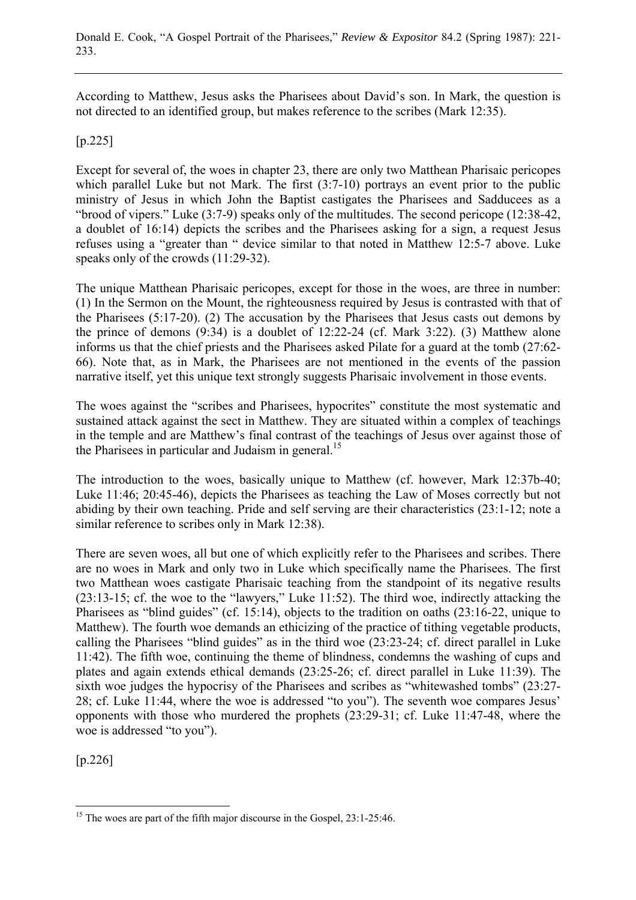According to Matthew, Jesus asks the Pharisees about David's son. In Mark, the question is not directed to an identified group, but makes reference to the scribes (Mark 12:35).

#### [p.225]

Except for several of, the woes in chapter 23, there are only two Matthean Pharisaic pericopes which parallel Luke but not Mark. The first  $(3:7-10)$  portrays an event prior to the public ministry of Jesus in which John the Baptist castigates the Pharisees and Sadducees as a "brood of vipers." Luke (3:7-9) speaks only of the multitudes. The second pericope (12:38-42, a doublet of 16:14) depicts the scribes and the Pharisees asking for a sign, a request Jesus refuses using a "greater than " device similar to that noted in Matthew 12:5-7 above. Luke speaks only of the crowds (11:29-32).

The unique Matthean Pharisaic pericopes, except for those in the woes, are three in number: (1) In the Sermon on the Mount, the righteousness required by Jesus is contrasted with that of the Pharisees (5:17-20). (2) The accusation by the Pharisees that Jesus casts out demons by the prince of demons (9:34) is a doublet of 12:22-24 (cf. Mark 3:22). (3) Matthew alone informs us that the chief priests and the Pharisees asked Pilate for a guard at the tomb (27:62- 66). Note that, as in Mark, the Pharisees are not mentioned in the events of the passion narrative itself, yet this unique text strongly suggests Pharisaic involvement in those events.

The woes against the "scribes and Pharisees, hypocrites" constitute the most systematic and sustained attack against the sect in Matthew. They are situated within a complex of teachings in the temple and are Matthew's final contrast of the teachings of Jesus over against those of the Pharisees in particular and Judaism in general.<sup>15</sup>

The introduction to the woes, basically unique to Matthew (cf. however, Mark 12:37b-40; Luke 11:46; 20:45-46), depicts the Pharisees as teaching the Law of Moses correctly but not abiding by their own teaching. Pride and self serving are their characteristics (23:1-12; note a similar reference to scribes only in Mark 12:38).

There are seven woes, all but one of which explicitly refer to the Pharisees and scribes. There are no woes in Mark and only two in Luke which specifically name the Pharisees. The first two Matthean woes castigate Pharisaic teaching from the standpoint of its negative results (23:13-15; cf. the woe to the "lawyers," Luke 11:52). The third woe, indirectly attacking the Pharisees as "blind guides" (cf. 15:14), objects to the tradition on oaths (23:16-22, unique to Matthew). The fourth woe demands an ethicizing of the practice of tithing vegetable products, calling the Pharisees "blind guides" as in the third woe (23:23-24; cf. direct parallel in Luke 11:42). The fifth woe, continuing the theme of blindness, condemns the washing of cups and plates and again extends ethical demands (23:25-26; cf. direct parallel in Luke 11:39). The sixth woe judges the hypocrisy of the Pharisees and scribes as "whitewashed tombs" (23:27- 28; cf. Luke 11:44, where the woe is addressed "to you"). The seventh woe compares Jesus' opponents with those who murdered the prophets (23:29-31; cf. Luke 11:47-48, where the woe is addressed "to you").

[p.226]

 $\overline{a}$ <sup>15</sup> The woes are part of the fifth major discourse in the Gospel, 23:1-25:46.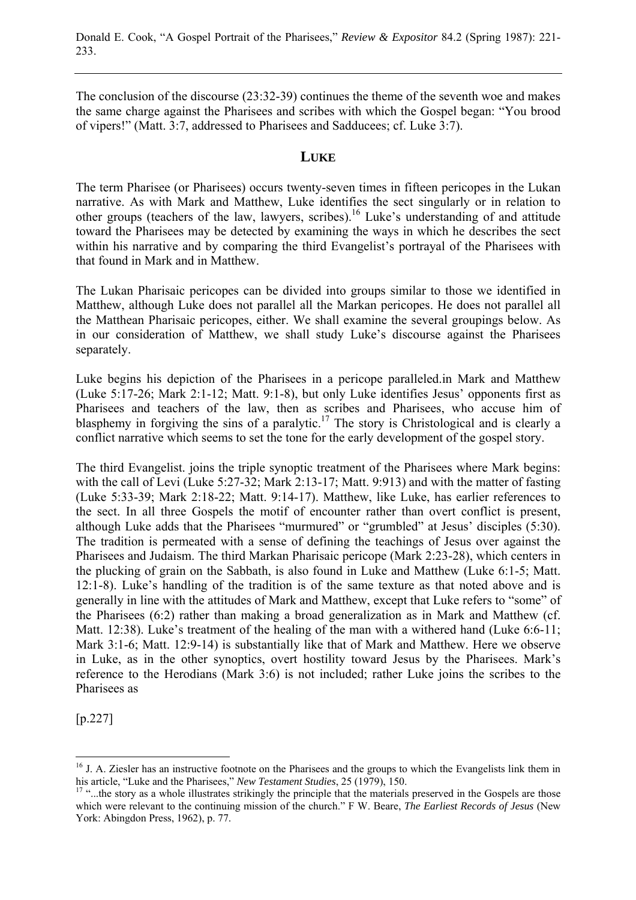The conclusion of the discourse (23:32-39) continues the theme of the seventh woe and makes the same charge against the Pharisees and scribes with which the Gospel began: "You brood of vipers!" (Matt. 3:7, addressed to Pharisees and Sadducees; cf. Luke 3:7).

### **LUKE**

The term Pharisee (or Pharisees) occurs twenty-seven times in fifteen pericopes in the Lukan narrative. As with Mark and Matthew, Luke identifies the sect singularly or in relation to other groups (teachers of the law, lawyers, scribes).16 Luke's understanding of and attitude toward the Pharisees may be detected by examining the ways in which he describes the sect within his narrative and by comparing the third Evangelist's portrayal of the Pharisees with that found in Mark and in Matthew.

The Lukan Pharisaic pericopes can be divided into groups similar to those we identified in Matthew, although Luke does not parallel all the Markan pericopes. He does not parallel all the Matthean Pharisaic pericopes, either. We shall examine the several groupings below. As in our consideration of Matthew, we shall study Luke's discourse against the Pharisees separately.

Luke begins his depiction of the Pharisees in a pericope paralleled.in Mark and Matthew (Luke 5:17-26; Mark 2:1-12; Matt. 9:1-8), but only Luke identifies Jesus' opponents first as Pharisees and teachers of the law, then as scribes and Pharisees, who accuse him of blasphemy in forgiving the sins of a paralytic.<sup>17</sup> The story is Christological and is clearly a conflict narrative which seems to set the tone for the early development of the gospel story.

The third Evangelist. joins the triple synoptic treatment of the Pharisees where Mark begins: with the call of Levi (Luke 5:27-32; Mark 2:13-17; Matt. 9:913) and with the matter of fasting (Luke 5:33-39; Mark 2:18-22; Matt. 9:14-17). Matthew, like Luke, has earlier references to the sect. In all three Gospels the motif of encounter rather than overt conflict is present, although Luke adds that the Pharisees "murmured" or "grumbled" at Jesus' disciples (5:30). The tradition is permeated with a sense of defining the teachings of Jesus over against the Pharisees and Judaism. The third Markan Pharisaic pericope (Mark 2:23-28), which centers in the plucking of grain on the Sabbath, is also found in Luke and Matthew (Luke 6:1-5; Matt. 12:1-8). Luke's handling of the tradition is of the same texture as that noted above and is generally in line with the attitudes of Mark and Matthew, except that Luke refers to "some" of the Pharisees (6:2) rather than making a broad generalization as in Mark and Matthew (cf. Matt. 12:38). Luke's treatment of the healing of the man with a withered hand (Luke 6:6-11; Mark 3:1-6; Matt. 12:9-14) is substantially like that of Mark and Matthew. Here we observe in Luke, as in the other synoptics, overt hostility toward Jesus by the Pharisees. Mark's reference to the Herodians (Mark 3:6) is not included; rather Luke joins the scribes to the Pharisees as

[p.227]

<sup>&</sup>lt;sup>16</sup> J. A. Ziesler has an instructive footnote on the Pharisees and the groups to which the Evangelists link them in his article, "Luke and the Pharisees," *New Testament Studies*, 25 (1979), 150.

<sup>&</sup>lt;sup>17</sup> "...the story as a whole illustrates strikingly the principle that the materials preserved in the Gospels are those which were relevant to the continuing mission of the church." F W. Beare, *The Earliest Records of Jesus* (New York: Abingdon Press, 1962), p. 77.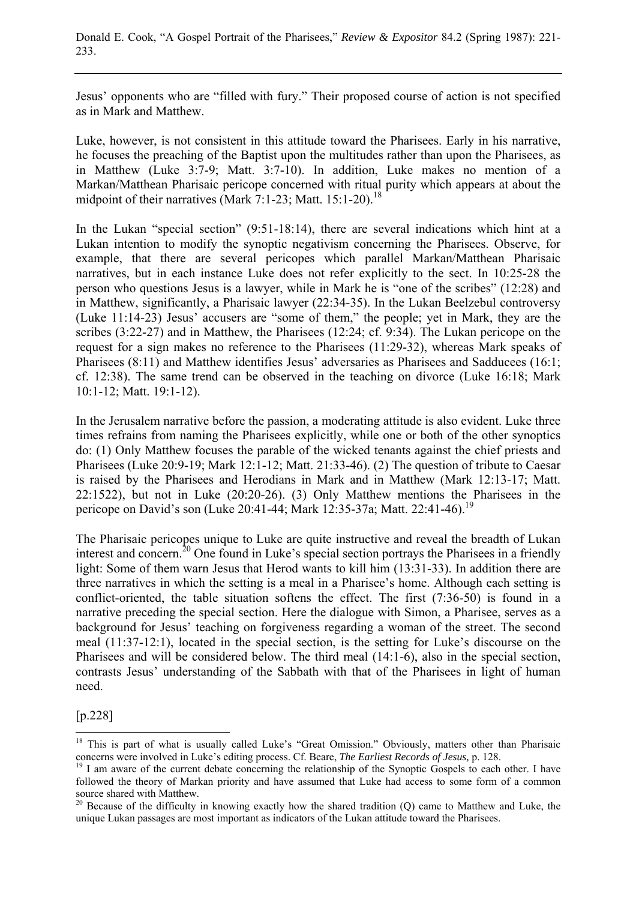Jesus' opponents who are "filled with fury." Their proposed course of action is not specified as in Mark and Matthew.

Luke, however, is not consistent in this attitude toward the Pharisees. Early in his narrative, he focuses the preaching of the Baptist upon the multitudes rather than upon the Pharisees, as in Matthew (Luke 3:7-9; Matt. 3:7-10). In addition, Luke makes no mention of a Markan/Matthean Pharisaic pericope concerned with ritual purity which appears at about the midpoint of their narratives (Mark 7:1-23; Matt. 15:1-20).<sup>18</sup>

In the Lukan "special section" (9:51-18:14), there are several indications which hint at a Lukan intention to modify the synoptic negativism concerning the Pharisees. Observe, for example, that there are several pericopes which parallel Markan/Matthean Pharisaic narratives, but in each instance Luke does not refer explicitly to the sect. In 10:25-28 the person who questions Jesus is a lawyer, while in Mark he is "one of the scribes" (12:28) and in Matthew, significantly, a Pharisaic lawyer (22:34-35). In the Lukan Beelzebul controversy (Luke 11:14-23) Jesus' accusers are "some of them," the people; yet in Mark, they are the scribes (3:22-27) and in Matthew, the Pharisees (12:24; cf. 9:34). The Lukan pericope on the request for a sign makes no reference to the Pharisees (11:29-32), whereas Mark speaks of Pharisees (8:11) and Matthew identifies Jesus' adversaries as Pharisees and Sadducees (16:1; cf. 12:38). The same trend can be observed in the teaching on divorce (Luke 16:18; Mark 10:1-12; Matt. 19:1-12).

In the Jerusalem narrative before the passion, a moderating attitude is also evident. Luke three times refrains from naming the Pharisees explicitly, while one or both of the other synoptics do: (1) Only Matthew focuses the parable of the wicked tenants against the chief priests and Pharisees (Luke 20:9-19; Mark 12:1-12; Matt. 21:33-46). (2) The question of tribute to Caesar is raised by the Pharisees and Herodians in Mark and in Matthew (Mark 12:13-17; Matt. 22:1522), but not in Luke (20:20-26). (3) Only Matthew mentions the Pharisees in the pericope on David's son (Luke 20:41-44; Mark 12:35-37a; Matt. 22:41-46).19

The Pharisaic pericopes unique to Luke are quite instructive and reveal the breadth of Lukan interest and concern.<sup>20</sup> One found in Luke's special section portrays the Pharisees in a friendly light: Some of them warn Jesus that Herod wants to kill him (13:31-33). In addition there are three narratives in which the setting is a meal in a Pharisee's home. Although each setting is conflict-oriented, the table situation softens the effect. The first (7:36-50) is found in a narrative preceding the special section. Here the dialogue with Simon, a Pharisee, serves as a background for Jesus' teaching on forgiveness regarding a woman of the street. The second meal (11:37-12:1), located in the special section, is the setting for Luke's discourse on the Pharisees and will be considered below. The third meal (14:1-6), also in the special section, contrasts Jesus' understanding of the Sabbath with that of the Pharisees in light of human need.

#### [p.228]

<sup>&</sup>lt;sup>18</sup> This is part of what is usually called Luke's "Great Omission." Obviously, matters other than Pharisaic concerns were involved in Luke's editing process. Cf. Beare, *The Earliest Records of Jesus*, p. 128.<br><sup>19</sup> I am aware of the current debate concerning the relationship of the Synoptic Gospels to each other. I have

followed the theory of Markan priority and have assumed that Luke had access to some form of a common source shared with Matthew.

 $20$  Because of the difficulty in knowing exactly how the shared tradition (Q) came to Matthew and Luke, the unique Lukan passages are most important as indicators of the Lukan attitude toward the Pharisees.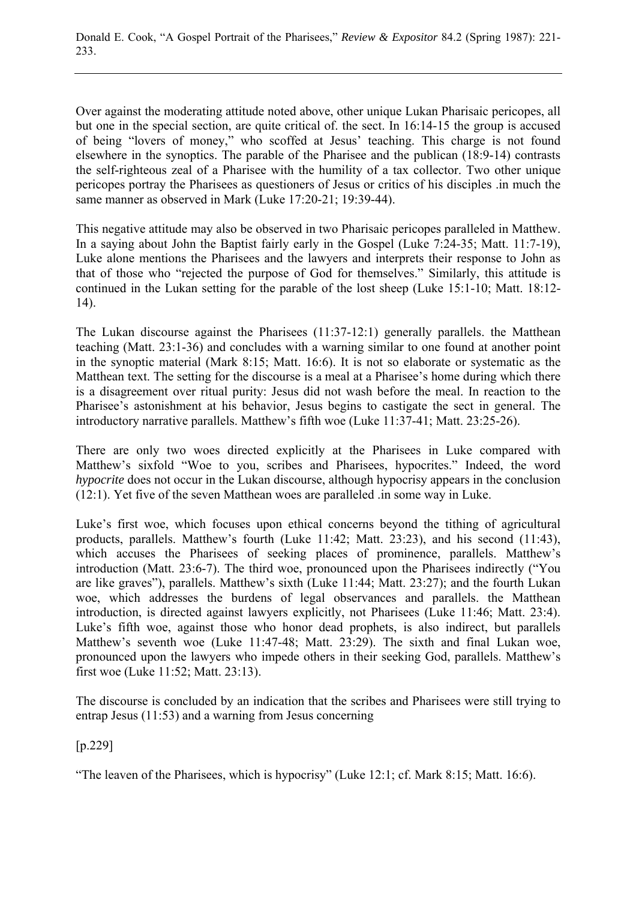Over against the moderating attitude noted above, other unique Lukan Pharisaic pericopes, all but one in the special section, are quite critical of. the sect. In 16:14-15 the group is accused of being "lovers of money," who scoffed at Jesus' teaching. This charge is not found elsewhere in the synoptics. The parable of the Pharisee and the publican (18:9-14) contrasts the self-righteous zeal of a Pharisee with the humility of a tax collector. Two other unique pericopes portray the Pharisees as questioners of Jesus or critics of his disciples .in much the same manner as observed in Mark (Luke 17:20-21; 19:39-44).

This negative attitude may also be observed in two Pharisaic pericopes paralleled in Matthew. In a saying about John the Baptist fairly early in the Gospel (Luke 7:24-35; Matt. 11:7-19), Luke alone mentions the Pharisees and the lawyers and interprets their response to John as that of those who "rejected the purpose of God for themselves." Similarly, this attitude is continued in the Lukan setting for the parable of the lost sheep (Luke 15:1-10; Matt. 18:12- 14).

The Lukan discourse against the Pharisees (11:37-12:1) generally parallels. the Matthean teaching (Matt. 23:1-36) and concludes with a warning similar to one found at another point in the synoptic material (Mark 8:15; Matt. 16:6). It is not so elaborate or systematic as the Matthean text. The setting for the discourse is a meal at a Pharisee's home during which there is a disagreement over ritual purity: Jesus did not wash before the meal. In reaction to the Pharisee's astonishment at his behavior, Jesus begins to castigate the sect in general. The introductory narrative parallels. Matthew's fifth woe (Luke 11:37-41; Matt. 23:25-26).

There are only two woes directed explicitly at the Pharisees in Luke compared with Matthew's sixfold "Woe to you, scribes and Pharisees, hypocrites." Indeed, the word *hypocrite* does not occur in the Lukan discourse, although hypocrisy appears in the conclusion (12:1). Yet five of the seven Matthean woes are paralleled .in some way in Luke.

Luke's first woe, which focuses upon ethical concerns beyond the tithing of agricultural products, parallels. Matthew's fourth (Luke 11:42; Matt. 23:23), and his second (11:43), which accuses the Pharisees of seeking places of prominence, parallels. Matthew's introduction (Matt. 23:6-7). The third woe, pronounced upon the Pharisees indirectly ("You are like graves"), parallels. Matthew's sixth (Luke 11:44; Matt. 23:27); and the fourth Lukan woe, which addresses the burdens of legal observances and parallels. the Matthean introduction, is directed against lawyers explicitly, not Pharisees (Luke 11:46; Matt. 23:4). Luke's fifth woe, against those who honor dead prophets, is also indirect, but parallels Matthew's seventh woe (Luke 11:47-48; Matt. 23:29). The sixth and final Lukan woe, pronounced upon the lawyers who impede others in their seeking God, parallels. Matthew's first woe (Luke 11:52; Matt. 23:13).

The discourse is concluded by an indication that the scribes and Pharisees were still trying to entrap Jesus (11:53) and a warning from Jesus concerning

[p.229]

"The leaven of the Pharisees, which is hypocrisy" (Luke 12:1; cf. Mark 8:15; Matt. 16:6).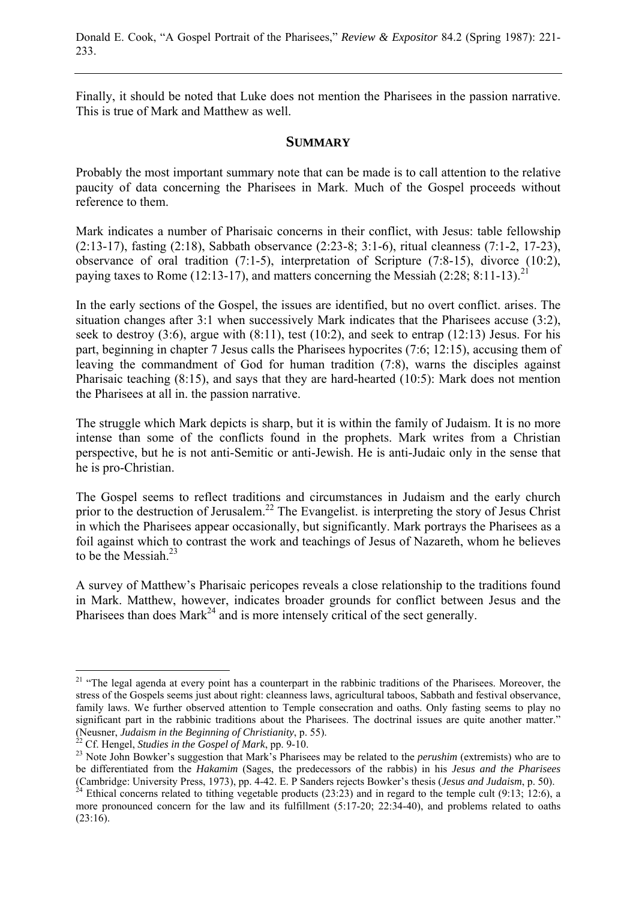Donald E. Cook, "A Gospel Portrait of the Pharisees," *Review & Expositor* 84.2 (Spring 1987): 221- 233.

Finally, it should be noted that Luke does not mention the Pharisees in the passion narrative. This is true of Mark and Matthew as well.

#### **SUMMARY**

Probably the most important summary note that can be made is to call attention to the relative paucity of data concerning the Pharisees in Mark. Much of the Gospel proceeds without reference to them.

Mark indicates a number of Pharisaic concerns in their conflict, with Jesus: table fellowship (2:13-17), fasting (2:18), Sabbath observance (2:23-8; 3:1-6), ritual cleanness (7:1-2, 17-23), observance of oral tradition (7:1-5), interpretation of Scripture (7:8-15), divorce (10:2), paying taxes to Rome  $(12:13-17)$ , and matters concerning the Messiah  $(2:28:8:11-13)^{21}$ 

In the early sections of the Gospel, the issues are identified, but no overt conflict. arises. The situation changes after 3:1 when successively Mark indicates that the Pharisees accuse (3:2), seek to destroy  $(3:6)$ , argue with  $(8:11)$ , test  $(10:2)$ , and seek to entrap  $(12:13)$  Jesus. For his part, beginning in chapter 7 Jesus calls the Pharisees hypocrites (7:6; 12:15), accusing them of leaving the commandment of God for human tradition (7:8), warns the disciples against Pharisaic teaching (8:15), and says that they are hard-hearted (10:5): Mark does not mention the Pharisees at all in. the passion narrative.

The struggle which Mark depicts is sharp, but it is within the family of Judaism. It is no more intense than some of the conflicts found in the prophets. Mark writes from a Christian perspective, but he is not anti-Semitic or anti-Jewish. He is anti-Judaic only in the sense that he is pro-Christian.

The Gospel seems to reflect traditions and circumstances in Judaism and the early church prior to the destruction of Jerusalem.<sup>22</sup> The Evangelist. is interpreting the story of Jesus Christ in which the Pharisees appear occasionally, but significantly. Mark portrays the Pharisees as a foil against which to contrast the work and teachings of Jesus of Nazareth, whom he believes to be the Messiah. $^{23}$ 

A survey of Matthew's Pharisaic pericopes reveals a close relationship to the traditions found in Mark. Matthew, however, indicates broader grounds for conflict between Jesus and the Pharisees than does Mark<sup>24</sup> and is more intensely critical of the sect generally.

<sup>&</sup>lt;sup>21</sup> "The legal agenda at every point has a counterpart in the rabbinic traditions of the Pharisees. Moreover, the stress of the Gospels seems just about right: cleanness laws, agricultural taboos, Sabbath and festival observance, family laws. We further observed attention to Temple consecration and oaths. Only fasting seems to play no significant part in the rabbinic traditions about the Pharisees. The doctrinal issues are quite another matter."<br>(Neusner, Judaism in the Beginning of Christianity, p. 55).<br><sup>22</sup> Cf. Hengel, *Studies in the Gospel of Mark* 

<sup>&</sup>lt;sup>23</sup> Note John Bowker's suggestion that Mark's Pharisees may be related to the *perushim* (extremists) who are to be differentiated from the *Hakamim* (Sages, the predecessors of the rabbis) in his *Jesus and the Pharisees*

<sup>&</sup>lt;sup>24</sup> Ethical concerns related to tithing vegetable products (23:23) and in regard to the temple cult (9:13; 12:6), a more pronounced concern for the law and its fulfillment (5:17-20; 22:34-40), and problems related to oaths  $(23:16).$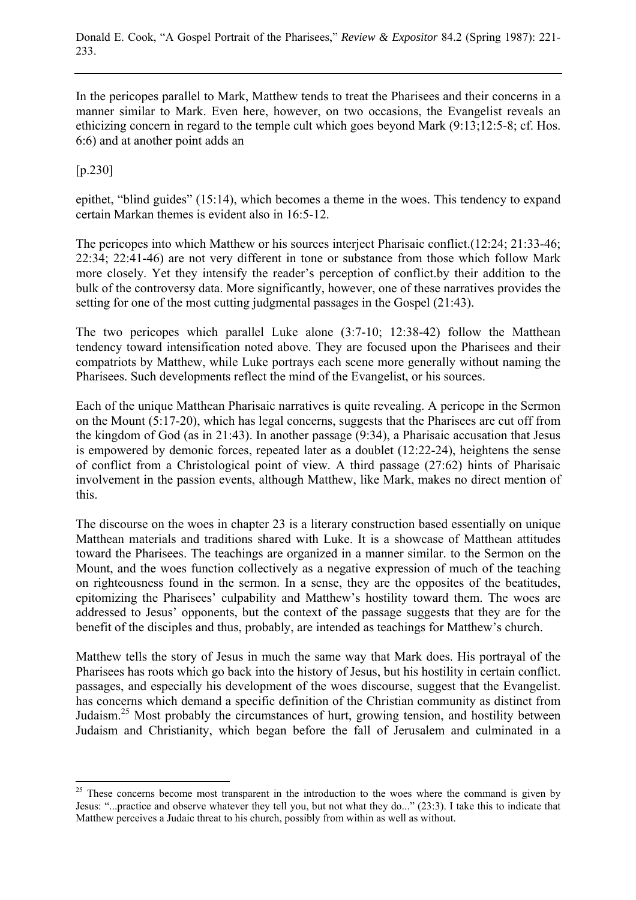In the pericopes parallel to Mark, Matthew tends to treat the Pharisees and their concerns in a manner similar to Mark. Even here, however, on two occasions, the Evangelist reveals an ethicizing concern in regard to the temple cult which goes beyond Mark (9:13;12:5-8; cf. Hos. 6:6) and at another point adds an

[p.230]

 $\overline{a}$ 

epithet, "blind guides" (15:14), which becomes a theme in the woes. This tendency to expand certain Markan themes is evident also in 16:5-12.

The pericopes into which Matthew or his sources interject Pharisaic conflict.(12:24; 21:33-46; 22:34; 22:41-46) are not very different in tone or substance from those which follow Mark more closely. Yet they intensify the reader's perception of conflict.by their addition to the bulk of the controversy data. More significantly, however, one of these narratives provides the setting for one of the most cutting judgmental passages in the Gospel (21:43).

The two pericopes which parallel Luke alone (3:7-10; 12:38-42) follow the Matthean tendency toward intensification noted above. They are focused upon the Pharisees and their compatriots by Matthew, while Luke portrays each scene more generally without naming the Pharisees. Such developments reflect the mind of the Evangelist, or his sources.

Each of the unique Matthean Pharisaic narratives is quite revealing. A pericope in the Sermon on the Mount (5:17-20), which has legal concerns, suggests that the Pharisees are cut off from the kingdom of God (as in 21:43). In another passage (9:34), a Pharisaic accusation that Jesus is empowered by demonic forces, repeated later as a doublet (12:22-24), heightens the sense of conflict from a Christological point of view. A third passage (27:62) hints of Pharisaic involvement in the passion events, although Matthew, like Mark, makes no direct mention of this.

The discourse on the woes in chapter 23 is a literary construction based essentially on unique Matthean materials and traditions shared with Luke. It is a showcase of Matthean attitudes toward the Pharisees. The teachings are organized in a manner similar. to the Sermon on the Mount, and the woes function collectively as a negative expression of much of the teaching on righteousness found in the sermon. In a sense, they are the opposites of the beatitudes, epitomizing the Pharisees' culpability and Matthew's hostility toward them. The woes are addressed to Jesus' opponents, but the context of the passage suggests that they are for the benefit of the disciples and thus, probably, are intended as teachings for Matthew's church.

Matthew tells the story of Jesus in much the same way that Mark does. His portrayal of the Pharisees has roots which go back into the history of Jesus, but his hostility in certain conflict. passages, and especially his development of the woes discourse, suggest that the Evangelist. has concerns which demand a specific definition of the Christian community as distinct from Judaism.25 Most probably the circumstances of hurt, growing tension, and hostility between Judaism and Christianity, which began before the fall of Jerusalem and culminated in a

<sup>&</sup>lt;sup>25</sup> These concerns become most transparent in the introduction to the woes where the command is given by Jesus: "...practice and observe whatever they tell you, but not what they do..." (23:3). I take this to indicate that Matthew perceives a Judaic threat to his church, possibly from within as well as without.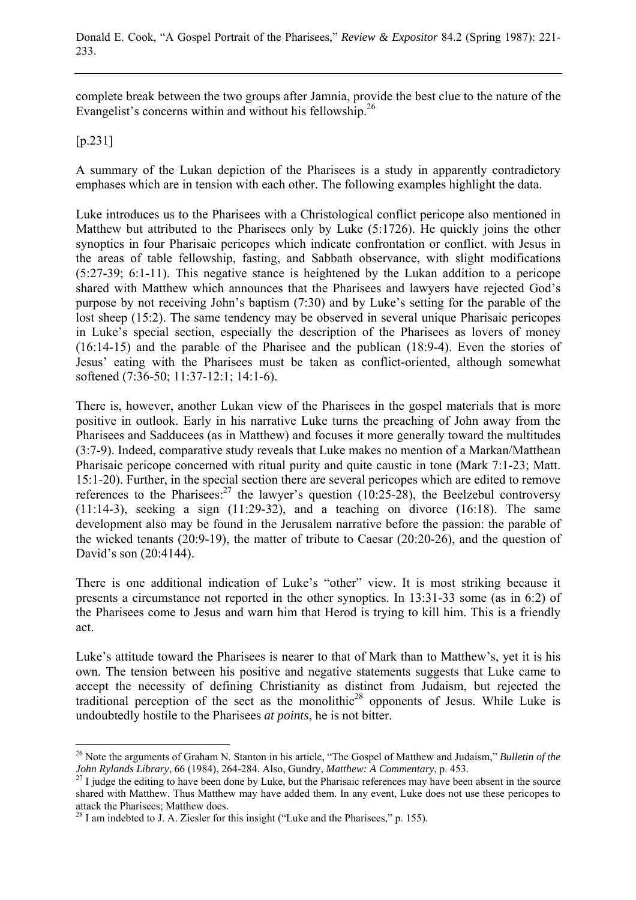complete break between the two groups after Jamnia, provide the best clue to the nature of the Evangelist's concerns within and without his fellowship.<sup>26</sup>

[p.231]

 $\overline{a}$ 

A summary of the Lukan depiction of the Pharisees is a study in apparently contradictory emphases which are in tension with each other. The following examples highlight the data.

Luke introduces us to the Pharisees with a Christological conflict pericope also mentioned in Matthew but attributed to the Pharisees only by Luke (5:1726). He quickly joins the other synoptics in four Pharisaic pericopes which indicate confrontation or conflict. with Jesus in the areas of table fellowship, fasting, and Sabbath observance, with slight modifications (5:27-39; 6:1-11). This negative stance is heightened by the Lukan addition to a pericope shared with Matthew which announces that the Pharisees and lawyers have rejected God's purpose by not receiving John's baptism (7:30) and by Luke's setting for the parable of the lost sheep (15:2). The same tendency may be observed in several unique Pharisaic pericopes in Luke's special section, especially the description of the Pharisees as lovers of money (16:14-15) and the parable of the Pharisee and the publican (18:9-4). Even the stories of Jesus' eating with the Pharisees must be taken as conflict-oriented, although somewhat softened (7:36-50; 11:37-12:1; 14:1-6).

There is, however, another Lukan view of the Pharisees in the gospel materials that is more positive in outlook. Early in his narrative Luke turns the preaching of John away from the Pharisees and Sadducees (as in Matthew) and focuses it more generally toward the multitudes (3:7-9). Indeed, comparative study reveals that Luke makes no mention of a Markan/Matthean Pharisaic pericope concerned with ritual purity and quite caustic in tone (Mark 7:1-23; Matt. 15:1-20). Further, in the special section there are several pericopes which are edited to remove references to the Pharisees: $27$  the lawyer's question (10:25-28), the Beelzebul controversy  $(11:14-3)$ , seeking a sign  $(11:29-32)$ , and a teaching on divorce  $(16:18)$ . The same development also may be found in the Jerusalem narrative before the passion: the parable of the wicked tenants (20:9-19), the matter of tribute to Caesar (20:20-26), and the question of David's son (20:4144).

There is one additional indication of Luke's "other" view. It is most striking because it presents a circumstance not reported in the other synoptics. In 13:31-33 some (as in 6:2) of the Pharisees come to Jesus and warn him that Herod is trying to kill him. This is a friendly act.

Luke's attitude toward the Pharisees is nearer to that of Mark than to Matthew's, yet it is his own. The tension between his positive and negative statements suggests that Luke came to accept the necessity of defining Christianity as distinct from Judaism, but rejected the traditional perception of the sect as the monolithic<sup>28</sup> opponents of Jesus. While Luke is undoubtedly hostile to the Pharisees *at points*, he is not bitter.

<sup>26</sup> Note the arguments of Graham N. Stanton in his article, "The Gospel of Matthew and Judaism," *Bulletin of the John Rylands Library*, 66 (1984), 264-284. Also, Gundry, *Matthew: A Commentary*, p. 453.<br><sup>27</sup> I judge the editing to have been done by Luke, but the Pharisaic references may have been absent in the source

shared with Matthew. Thus Matthew may have added them. In any event, Luke does not use these pericopes to attack the Pharisees; Matthew does.

 $^{28}$  I am indebted to J. A. Ziesler for this insight ("Luke and the Pharisees," p. 155).